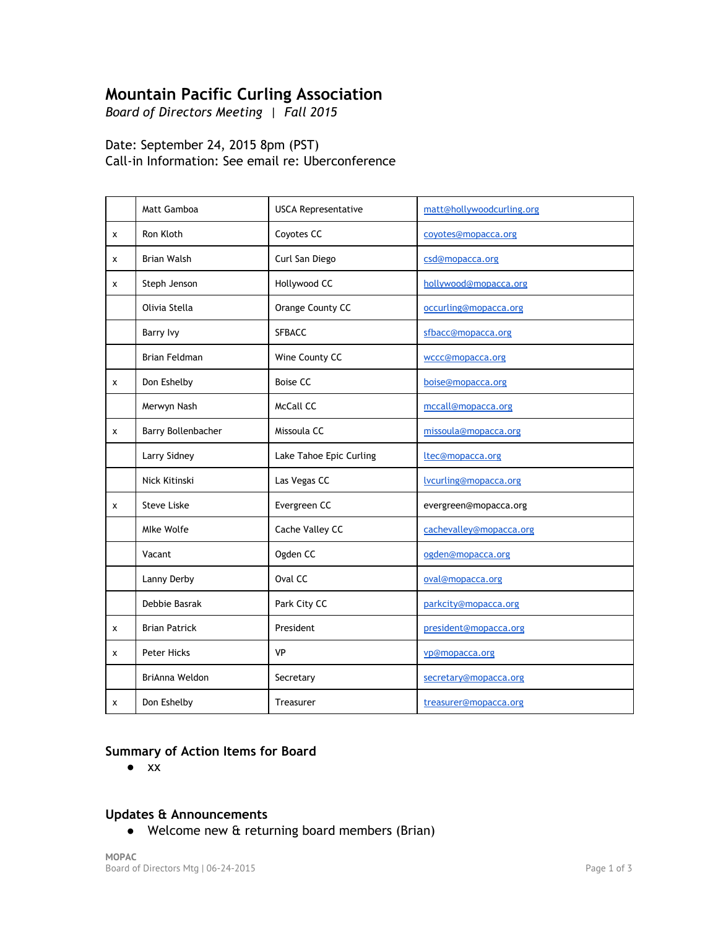# **Mountain Pacific Curling Association**

*Board of Directors Meeting | Fall 2015*

# Date: September 24, 2015 8pm (PST) Call‐in Information: See email re: Uberconference

|   | Matt Gamboa          | <b>USCA Representative</b> | matt@hollywoodcurling.org |
|---|----------------------|----------------------------|---------------------------|
| x | Ron Kloth            | Coyotes CC                 | coyotes@mopacca.org       |
| x | <b>Brian Walsh</b>   | Curl San Diego             | csd@mopacca.org           |
| x | Steph Jenson         | Hollywood CC               | hollywood@mopacca.org     |
|   | Olivia Stella        | Orange County CC           | occurling@mopacca.org     |
|   | Barry Ivy            | SFBACC                     | sfbacc@mopacca.org        |
|   | Brian Feldman        | Wine County CC             | wccc@mopacca.org          |
| x | Don Eshelby          | <b>Boise CC</b>            | boise@mopacca.org         |
|   | Merwyn Nash          | McCall CC                  | mccall@mopacca.org        |
| x | Barry Bollenbacher   | Missoula CC                | missoula@mopacca.org      |
|   | Larry Sidney         | Lake Tahoe Epic Curling    | ltec@mopacca.org          |
|   | Nick Kitinski        | Las Vegas CC               | Ivcurling@mopacca.org     |
| x | <b>Steve Liske</b>   | Evergreen CC               | evergreen@mopacca.org     |
|   | Mlke Wolfe           | Cache Valley CC            | cachevalley@mopacca.org   |
|   | Vacant               | Ogden CC                   | ogden@mopacca.org         |
|   | Lanny Derby          | Oval CC                    | oval@mopacca.org          |
|   | Debbie Basrak        | Park City CC               | parkcity@mopacca.org      |
| x | <b>Brian Patrick</b> | President                  | president@mopacca.org     |
| x | Peter Hicks          | <b>VP</b>                  | vp@mopacca.org            |
|   | BriAnna Weldon       | Secretary                  | secretary@mopacca.org     |
| x | Don Eshelby          | Treasurer                  | treasurer@mopacca.org     |

# **Summary of Action Items for Board**

● xx

## **Updates & Announcements**

● Welcome new & returning board members (Brian)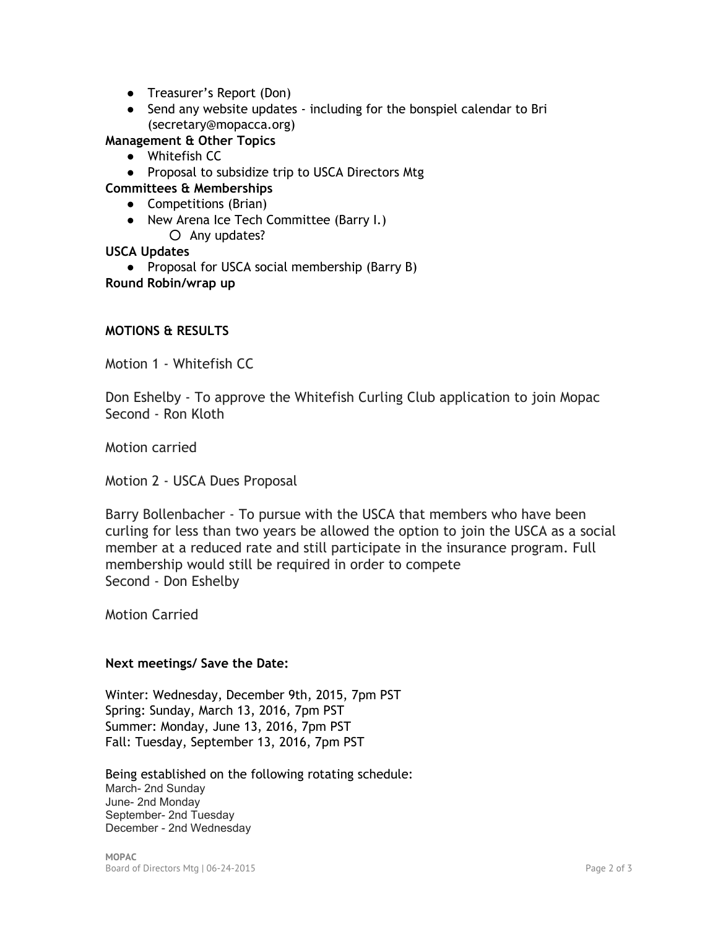- Treasurer's Report (Don)
- Send any website updates including for the bonspiel calendar to Bri (secretary@mopacca.org)

**Management & Other Topics**

- Whitefish CC
- Proposal to subsidize trip to USCA Directors Mtg
- **Committees & Memberships**
	- Competitions (Brian)
	- New Arena Ice Tech Committee (Barry I.) ○ Any updates?

## **USCA Updates**

● Proposal for USCA social membership (Barry B) **Round Robin/wrap up**

#### **MOTIONS & RESULTS**

Motion 1 ‐ Whitefish CC

Don Eshelby ‐ To approve the Whitefish Curling Club application to join Mopac Second ‐ Ron Kloth

Motion carried

Motion 2 ‐ USCA Dues Proposal

Barry Bollenbacher ‐ To pursue with the USCA that members who have been curling for less than two years be allowed the option to join the USCA as a social member at a reduced rate and still participate in the insurance program. Full membership would still be required in order to compete Second ‐ Don Eshelby

Motion Carried

#### **Next meetings/ Save the Date:**

Winter: Wednesday, December 9th, 2015, 7pm PST Spring: Sunday, March 13, 2016, 7pm PST Summer: Monday, June 13, 2016, 7pm PST Fall: Tuesday, September 13, 2016, 7pm PST

Being established on the following rotating schedule: March- 2nd Sunday June- 2nd Monday September- 2nd Tuesday December - 2nd Wednesday